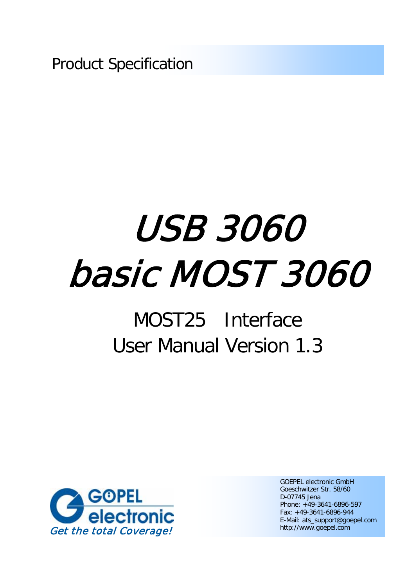Product Specification

# USB 3060 basic MOST 3060

## MOST25 Interface User Manual Version 1.3



GOEPEL electronic GmbH Goeschwitzer Str. 58/60 D-07745 Jena Phone: +49-3641-6896-597 Fax: +49-3641-6896-944 E-Mail: ats\_support@goepel.com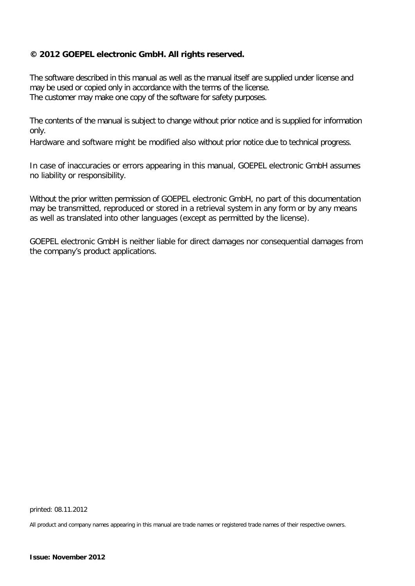### **© 2012 GOEPEL electronic GmbH. All rights reserved.**

The software described in this manual as well as the manual itself are supplied under license and may be used or copied only in accordance with the terms of the license. The customer may make one copy of the software for safety purposes.

The contents of the manual is subject to change without prior notice and is supplied for information only.

Hardware and software might be modified also without prior notice due to technical progress.

In case of inaccuracies or errors appearing in this manual, GOEPEL electronic GmbH assumes no liability or responsibility.

Without the prior written permission of GOEPEL electronic GmbH, no part of this documentation may be transmitted, reproduced or stored in a retrieval system in any form or by any means as well as translated into other languages (except as permitted by the license).

GOEPEL electronic GmbH is neither liable for direct damages nor consequential damages from the company's product applications.

printed: 08.11.2012

All product and company names appearing in this manual are trade names or registered trade names of their respective owners.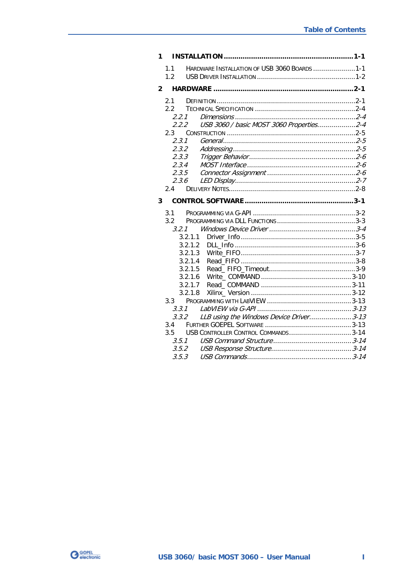| 1.                      |                                                                                                                                                                                                                                     |  |
|-------------------------|-------------------------------------------------------------------------------------------------------------------------------------------------------------------------------------------------------------------------------------|--|
|                         | HARDWARE INSTALLATION OF USB 3060 BOARDS 1-1<br>1.1<br>1.2                                                                                                                                                                          |  |
| $\overline{\mathbf{2}}$ |                                                                                                                                                                                                                                     |  |
|                         | 2.1<br>2.2<br>2.2.1<br>USB 3060 / basic MOST 3060 Properties2-4<br>2.2.2<br>2.3<br>2.3.1<br>2.3.2<br>2.3.3<br>2.3.4<br>2.3.5<br>2.3.6<br>2.4                                                                                        |  |
| 3                       |                                                                                                                                                                                                                                     |  |
|                         | 3.1<br>3.2<br>3.2.1<br>3.2.1.1<br>3.2.1.2<br>3.2.1.3<br>3.2.1.4<br>3.2.1.5<br>3.2.1.6<br>3.2.1.7<br>3.2.1.8<br>3.3.1<br>3.3.2 LLB using the Windows Device Driver3-13<br>3.4<br>USB CONTROLLER CONTROL COMMANDS3-14<br>3.5<br>3.5.1 |  |
|                         | 3.5.3                                                                                                                                                                                                                               |  |

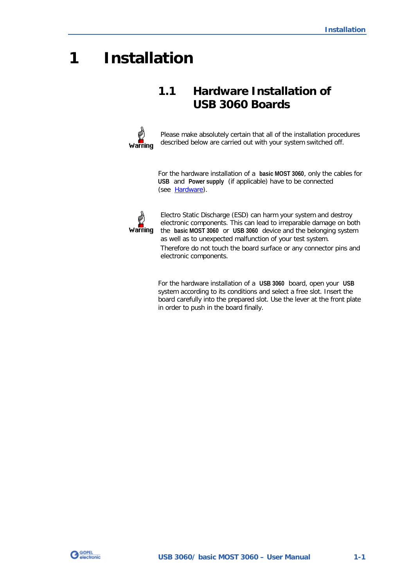## <span id="page-4-0"></span>**1 Installation**

## <span id="page-4-1"></span>**1.1 Hardware Installation of USB 3060 Boards**



Please make absolutely certain that all of the installation procedures described below are carried out with your system switched off.

For the hardware installation of a **basic MOST 3060**, only the cables for **USB** and **Power supply** (if applicable) have to be connected (see [Hardware\)](#page-6-0).



Electro Static Discharge (ESD) can harm your system and destroy electronic components. This can lead to irreparable damage on both the **basic MOST 3060** or **USB 3060** device and the belonging system as well as to unexpected malfunction of your test system. Therefore do not touch the board surface or any connector pins and electronic components.

For the hardware installation of a **USB 3060** board, open your **USB** system according to its conditions and select a free slot. Insert the board carefully into the prepared slot. Use the lever at the front plate in order to push in the board finally.

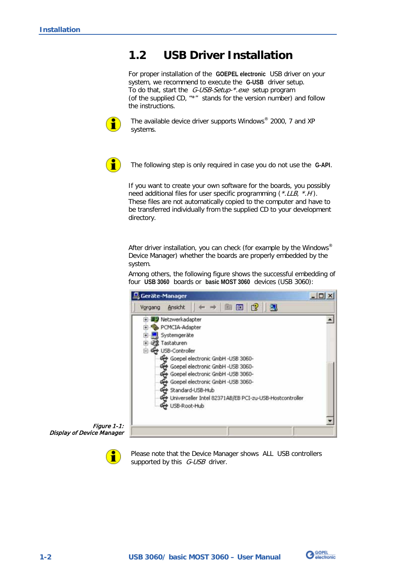## <span id="page-5-0"></span>**1.2 USB Driver Installation**

For proper installation of the **GOEPEL electronic** USB driver on your system, we recommend to execute the **G-USB** driver setup. To do that, start the G-USB-Setup-\*.exe setup program (of the supplied CD, "\*" stands for the version number) and follow the instructions.



The available device driver supports Windows® 2000, 7 and XP systems.



The following step is only required in case you do not use the **G-API**.

If you want to create your own software for the boards, you possibly need additional files for user specific programming (\*.LLB, \*.H). These files are not automatically copied to the computer and have to be transferred individually from the supplied CD to your development directory.

After driver installation, you can check (for example by the Windows<sup>®</sup> Device Manager) whether the boards are properly embedded by the system.

Among others, the following figure shows the successful embedding of four **USB 3060** boards or **basic MOST 3060** devices (USB 3060):



Figure 1-1: Display of Device Manager



Please note that the Device Manager shows ALL USB controllers supported by this  $G\text{-}USB$  driver.

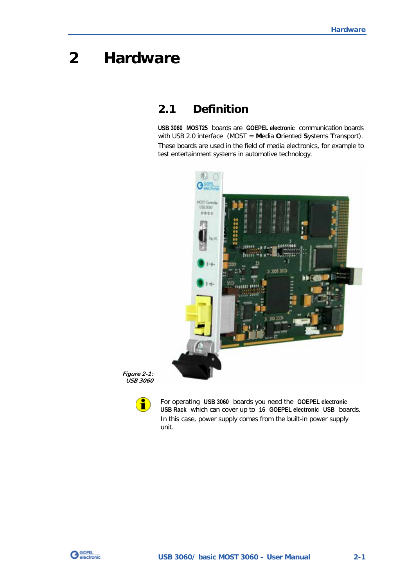## <span id="page-6-0"></span>**2 Hardware**

## <span id="page-6-1"></span>**2.1 Definition**

**USB 3060 MOST25** boards are **GOEPEL electronic** communication boards with USB 2.0 interface (MOST = **M**edia **O**riented **S**ystems **T**ransport). These boards are used in the field of media electronics, for example to test entertainment systems in automotive technology.



Figure 2-1: USB 3060



For operating **USB 3060** boards you need the **GOEPEL electronic USB Rack** which can cover up to **16 GOEPEL electronic USB** boards. In this case, power supply comes from the built-in power supply unit.

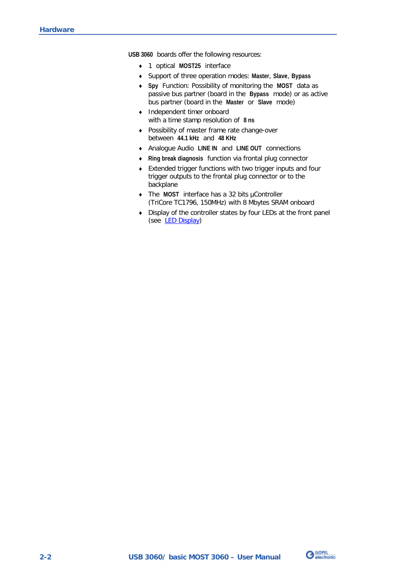**USB 3060** boards offer the following resources:

- 1 optical **MOST25** interface
- $\sim$ Support of three operation modes: **Master**, **Slave**, **Bypass**
- **Spy** Function: Possibility of monitoring the **MOST** data as passive bus partner (board in the **Bypass** mode) or as active bus partner (board in the **Master** or **Slave** mode)
- $\mathbb{Z}^{\mathbb{Z}}$ Independent timer onboard with a time stamp resolution of **8 ns**
- $\mathbf{a}$ Possibility of master frame rate change-over between **44.1 kHz** and **48 KHz**
- Analogue Audio **LINE IN** and **LINE OUT** connections
- **Ring break diagnosis** function via frontal plug connector
- Extended trigger functions with two trigger inputs and four trigger outputs to the frontal plug connector or to the backplane
- The **MOST** interface has a 32 bits µController (TriCore TC1796, 150MHz) with 8 Mbytes SRAM onboard
- Display of the controller states by four LEDs at the front panel (see [LED Display\)](#page-12-0)

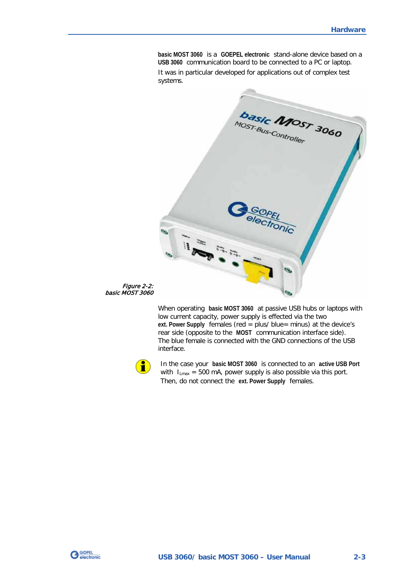**basic MOST 3060** is a **GOEPEL electronic** stand-alone device based on a **USB 3060** communication board to be connected to a PC or laptop. It was in particular developed for applications out of complex test systems.



Figure 2-2: basic MOST 3060

> When operating **basic MOST 3060** at passive USB hubs or laptops with low current capacity, power supply is effected via the two **ext. Power Supply** females (red = plus/ blue= minus) at the device's rear side (opposite to the **MOST** communication interface side). The blue female is connected with the GND connections of the USB interface.



In the case your **basic MOST 3060** is connected to an **active USB Port** with  $I_{Lmax}$  = 500 mA, power supply is also possible via this port. Then, do not connect the **ext. Power Supply** females.

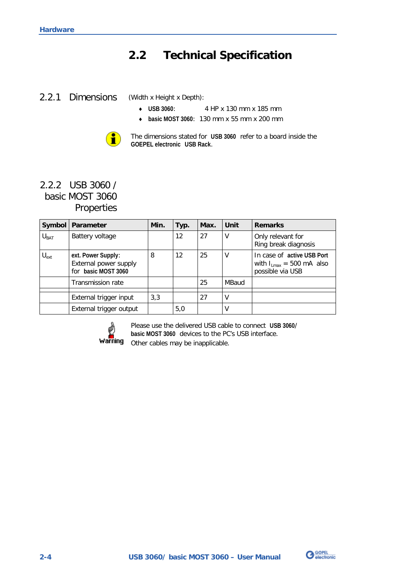## <span id="page-9-0"></span>**2.2 Technical Specification**

## <span id="page-9-1"></span>2.2.1 Dimensions

(Width x Height x Depth):

- **USB 3060**: 4 HP x 130 mm x 185 mm
- **basic MOST 3060**: 130 mm x 55 mm x 200 mm



## <span id="page-9-2"></span>2.2.2 USB 3060 / basic MOST 3060 Properties

|                  | Symbol   Parameter                                                 | Min. | Typ.              | Max. | Unit  | <b>Remarks</b>                                                                  |
|------------------|--------------------------------------------------------------------|------|-------------------|------|-------|---------------------------------------------------------------------------------|
| $U_{BAT}$        | Battery voltage                                                    |      | $12 \overline{ }$ | 27   | ۷     | Only relevant for<br>Ring break diagnosis                                       |
| $U_{\text{ext}}$ | ext. Power Supply:<br>External power supply<br>for basic MOST 3060 | 8    | 12                | 25   | ٧     | In case of active USB Port<br>with $I_{Lmax}$ = 500 mA also<br>possible via USB |
|                  | <b>Transmission rate</b>                                           |      |                   | 25   | MBaud |                                                                                 |
|                  | External trigger input                                             | 3,3  |                   | 27   | V     |                                                                                 |
|                  | External trigger output                                            |      | 5,0               |      | V     |                                                                                 |



Please use the delivered USB cable to connect **USB 3060**/ **basic MOST 3060** devices to the PC's USB interface. Other cables may be inapplicable.

**G** GOPEL

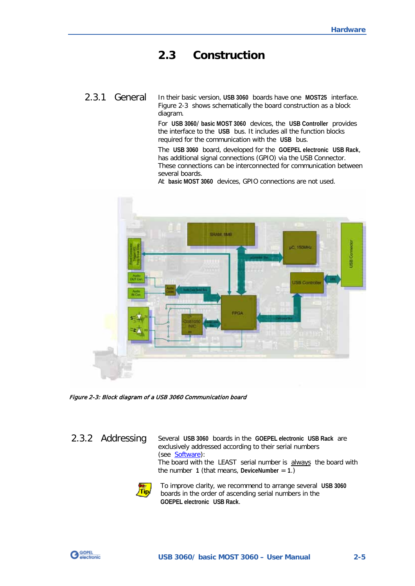## <span id="page-10-0"></span>**2.3 Construction**

## <span id="page-10-1"></span>2.3.1 General

In their basic version, **USB 3060** boards have one **MOST25** interface. [Figure 2-3](#page-10-3) shows schematically the board construction as a block diagram.

For **USB 3060**/ **basic MOST 3060** devices, the **USB Controller** provides the interface to the **USB** bus. It includes all the function blocks required for the communication with the **USB** bus.

The **USB 3060** board, developed for the **GOEPEL electronic USB Rack**, has additional signal connections (GPIO) via the USB Connector. These connections can be interconnected for communication between several boards.

At **basic MOST 3060** devices, GPIO connections are not used.



<span id="page-10-3"></span>Figure 2-3: Block diagram of a USB 3060 Communication board

<span id="page-10-2"></span>2.3.2 AddressingSeveral **USB 3060** boards in the **GOEPEL electronic USB Rack** are exclusively addressed according to their serial numbers (see [Software\)](#page-14-0): The board with the LEAST serial number is always the board with the number  $1$  (that means, DeviceNumber =  $1$ .) To improve clarity, we recommend to arrange several **USB 3060** Tip/ boards in the order of ascending serial numbers in the **GOEPEL electronic USB Rack**.

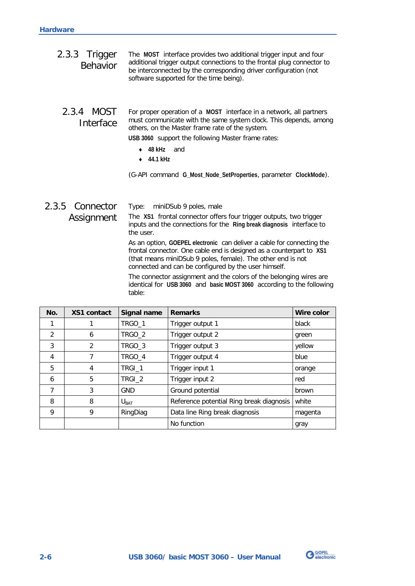<span id="page-11-1"></span><span id="page-11-0"></span>

| 2.3.3 Trigger<br><b>Behavior</b> | The MOST interface provides two additional trigger input and four<br>additional trigger output connections to the frontal plug connector to<br>be interconnected by the corresponding driver configuration (not<br>software supported for the time being). |
|----------------------------------|------------------------------------------------------------------------------------------------------------------------------------------------------------------------------------------------------------------------------------------------------------|
| 2.3.4 MOST<br>Interface          | For proper operation of a MOST interface in a network, all partners<br>must communicate with the same system clock. This depends, among<br>others, on the Master frame rate of the system.                                                                 |
|                                  | USB 3060 support the following Master frame rates:                                                                                                                                                                                                         |
|                                  | 48 kHz<br>and                                                                                                                                                                                                                                              |
|                                  | $\cdot$ $\alpha$ 1 kHz                                                                                                                                                                                                                                     |

**44.1 kHz**

(G-API command **G\_Most\_Node\_SetProperties**, parameter **ClockMode**).

#### <span id="page-11-2"></span>Type: miniDSub 9 poles, male The **XS1** frontal connector offers four trigger outputs, two trigger inputs and the connections for the **Ring break diagnosis** interface to the user. As an option, **GOEPEL electronic** can deliver a cable for connecting the 2.3.5 Connector Assignment

frontal connector. One cable end is designed as a counterpart to **XS1** (that means miniDSub 9 poles, female). The other end is not connected and can be configured by the user himself.

The connector assignment and the colors of the belonging wires are identical for **USB 3060** and **basic MOST 3060** according to the following table:

| No. | <b>XS1 contact</b> | Signal name      | <b>Remarks</b>                           | Wire color |
|-----|--------------------|------------------|------------------------------------------|------------|
|     |                    | TRGO_1           | Trigger output 1                         | black      |
| 2   | 6                  | TRGO_2           | Trigger output 2                         | green      |
| 3   | $\overline{2}$     | TRGO_3           | Trigger output 3                         | yellow     |
| 4   | 7                  | TRGO_4           | Trigger output 4                         | blue       |
| 5   | 4                  | TRGI 1           | Trigger input 1                          | orange     |
| 6   | 5                  | TRGI_2           | Trigger input 2                          | red        |
| 7   | 3                  | GND              | Ground potential                         | brown      |
| 8   | 8                  | $U_{\text{BAT}}$ | Reference potential Ring break diagnosis | white      |
| 9   | 9                  | RingDiag         | Data line Ring break diagnosis           | magenta    |
|     |                    |                  | No function                              | gray       |

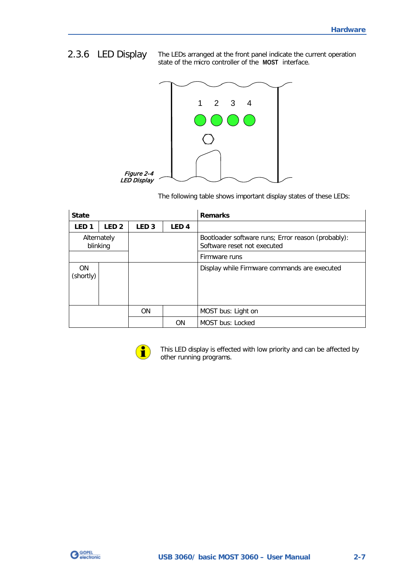## <span id="page-12-0"></span>2.3.6 LED Display

The LEDs arranged at the front panel indicate the current operation state of the micro controller of the **MOST** interface.



The following table shows important display states of these LEDs:

| <b>State</b>            |                  |                  |                  | <b>Remarks</b>                                                                    |
|-------------------------|------------------|------------------|------------------|-----------------------------------------------------------------------------------|
| LED <sub>1</sub>        | LED <sub>2</sub> | LED <sub>3</sub> | LED <sub>4</sub> |                                                                                   |
| Alternately<br>blinking |                  |                  |                  | Bootloader software runs; Error reason (probably):<br>Software reset not executed |
|                         |                  |                  |                  | Firmware runs                                                                     |
| <b>ON</b><br>(shortly)  |                  |                  |                  | Display while Firmware commands are executed                                      |
|                         |                  | <b>ON</b>        |                  | MOST bus: Light on                                                                |
|                         |                  |                  | <b>ON</b>        | MOST bus: Locked                                                                  |



This LED display is effected with low priority and can be affected by other running programs.

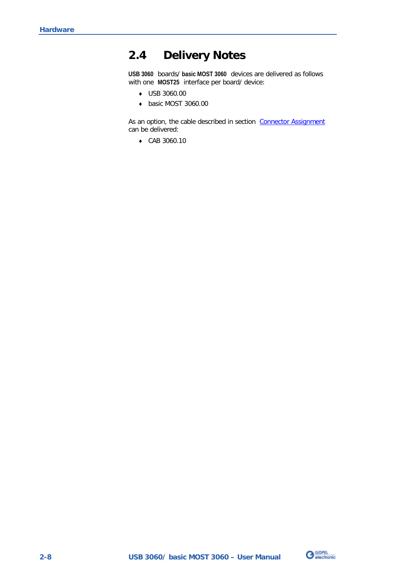## <span id="page-13-0"></span>**2.4 Delivery Notes**

**USB 3060** boards/ **basic MOST 3060** devices are delivered as follows with one **MOST25** interface per board/ device:

- USB 3060.00  $\mathbf{u}$
- $\omega$ basic MOST 3060.00

As an option, the cable described in section Connector Assignment can be delivered:

 $\omega_{\rm c}$ CAB 3060.10

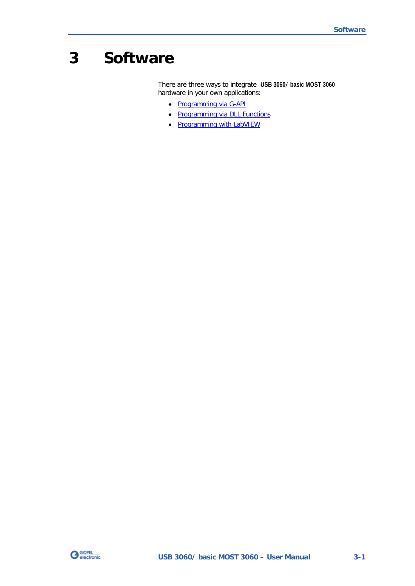## <span id="page-14-0"></span>**3 Software**

There are three ways to integrate **USB 3060**/ **basic MOST 3060** hardware in your own applications:

- $\omega_{\rm c}$ [Programming via G-API](#page-15-0)
- $\ddot{ }$ [Programming via DLL Functions](#page-16-0)
- [Programming with LabVIEW](#page-26-0)  $\cdot$

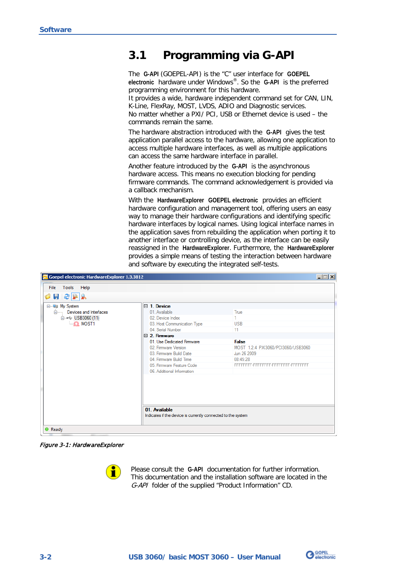## <span id="page-15-0"></span>**3.1 Programming via G-API**

The **G-API** (GOEPEL-API) is the "C" user interface for **GOEPEL electronic** hardware under Windows®. So the **G-API** is the preferred programming environment for this hardware.

It provides a wide, hardware independent command set for CAN, LIN, K-Line, FlexRay, MOST, LVDS, ADIO and Diagnostic services. No matter whether a PXI/ PCI, USB or Ethernet device is used – the commands remain the same.

The hardware abstraction introduced with the **G-API** gives the test application parallel access to the hardware, allowing one application to access multiple hardware interfaces, as well as multiple applications can access the same hardware interface in parallel.

Another feature introduced by the **G-API** is the asynchronous hardware access. This means no execution blocking for pending firmware commands. The command acknowledgement is provided via a callback mechanism.

With the **HardwareExplorer GOEPEL electronic** provides an efficient hardware configuration and management tool, offering users an easy way to manage their hardware configurations and identifying specific hardware interfaces by logical names. Using logical interface names in the application saves from rebuilding the application when porting it to another interface or controlling device, as the interface can be easily reassigned in the **HardwareExplorer**. Furthermore, the **HardwareExplorer** provides a simple means of testing the interaction between hardware and software by executing the integrated self-tests.

| Goepel electronic HardwareExplorer 1.3.3812                                                          |                                                                                                                                                                                                                                                                                                   |                                                                                                                                                   | $\Box$ |
|------------------------------------------------------------------------------------------------------|---------------------------------------------------------------------------------------------------------------------------------------------------------------------------------------------------------------------------------------------------------------------------------------------------|---------------------------------------------------------------------------------------------------------------------------------------------------|--------|
| Tools Help<br><b>File</b><br>$    -$<br>Ó                                                            |                                                                                                                                                                                                                                                                                                   |                                                                                                                                                   |        |
| ⊟ <sup></sup> Ea My System<br>Ė-------<br>Devices and Interfaces<br>□ ← USB3060 (11)<br>$\Box$ MOST1 | $\Box$ 1. Device<br>01. Available<br>02 Device Index<br>03. Host Communication Type<br>04. Serial Number<br>$\Box$ 2 Firmware<br>01 Use Dedicated Firmware<br>02. Firmware Version<br>03 Firmware Build Date<br>04 Firmware Build Time<br>05. Firmware Feature Code<br>06. Additional Information | True<br><b>USB</b><br>11<br><b>False</b><br>MOST 1.2.4 PXI3060/PCI3060/USB3060<br>Jun 26 2009<br>08:45:28<br>FFFFFFFF-FFFFFFFF-FFFFFFFFFFFFFFFFFF |        |
| ● Ready                                                                                              | 01. Available<br>Indicates if the device is currently connected to the system                                                                                                                                                                                                                     |                                                                                                                                                   |        |

Figure 3-1: HardwareExplorer

ñ

Please consult the **G-API** documentation for further information. This documentation and the installation software are located in the G-API folder of the supplied "Product Information" CD.

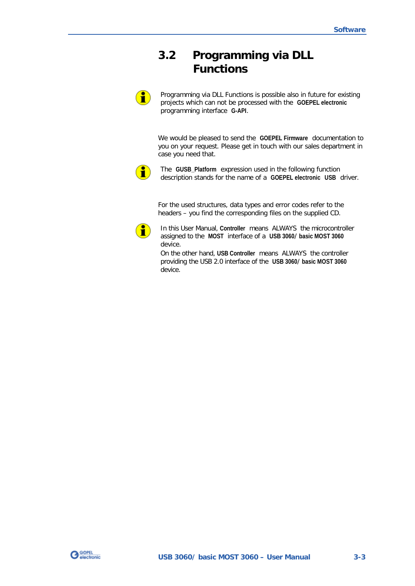## <span id="page-16-0"></span>**3.2 Programming via DLL Functions**

Programming via DLL Functions is possible also in future for existing projects which can not be processed with the **GOEPEL electronic** programming interface **G-API**.

We would be pleased to send the **GOEPEL Firmware** documentation to you on your request. Please get in touch with our sales department in case you need that.



Ĥ

The **GUSB\_Platform** expression used in the following function description stands for the name of a **GOEPEL electronic USB** driver.

For the used structures, data types and error codes refer to the headers – you find the corresponding files on the supplied CD.



In this User Manual, **Controller** means ALWAYS the microcontroller assigned to the **MOST** interface of a **USB 3060**/ **basic MOST 3060** device.

On the other hand, **USB Controller** means ALWAYS the controller providing the USB 2.0 interface of the **USB 3060**/ **basic MOST 3060** device.

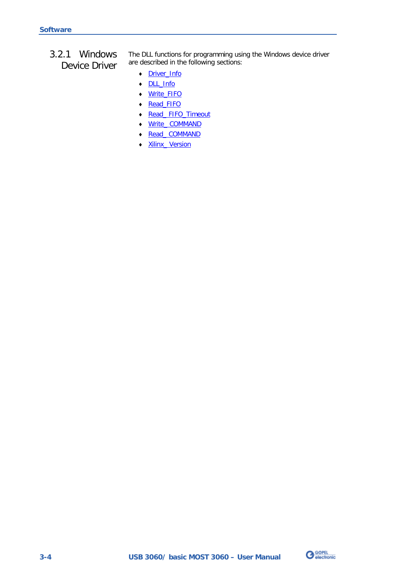<span id="page-17-0"></span>3.2.1 Windows Device Driver The DLL functions for programming using the Windows device driver are described in the following sections:

- [Driver\\_Info](#page-18-0)  ä,
- DLL\_Info  $\cdot$
- $\ddot{\phantom{a}}$ [Write\\_FIFO](#page-20-0)
- $\ddot{\phantom{a}}$ [Read\\_FIFO](#page-21-0)
- $\ddot{\phantom{0}}$ [Read\\_ FIFO\\_Timeout](#page-22-0)
- ä, [Write\\_ COMMAND](#page-23-1)
- $\mathbb{Z}$ [Read\\_ COMMAND](#page-24-0)
- [Xilinx\\_ Version](#page-25-1)   $\ddot{\phantom{a}}$

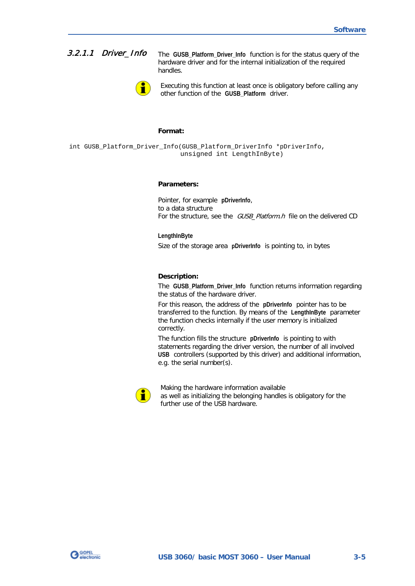## <span id="page-18-0"></span>3.2.1.1 Driver\_Info

The **GUSB\_Platform\_Driver\_Info** function is for the status query of the hardware driver and for the internal initialization of the required handles.



Executing this function at least once is obligatory before calling any other function of the **GUSB\_Platform** driver.

#### **Format:**

int GUSB\_Platform\_Driver\_Info(GUSB\_Platform\_DriverInfo \*pDriverInfo, unsigned int LengthInByte)

#### **Parameters:**

Pointer, for example **pDriverInfo**, to a data structure For the structure, see the GUSB\_Platform.h file on the delivered CD

**LengthInByte** Size of the storage area **pDriverInfo** is pointing to, in bytes

#### **Description:**

The **GUSB\_Platform\_Driver\_Info** function returns information regarding the status of the hardware driver.

For this reason, the address of the **pDriverInfo** pointer has to be transferred to the function. By means of the **LengthInByte** parameter the function checks internally if the user memory is initialized correctly.

The function fills the structure **pDriverInfo** is pointing to with statements regarding the driver version, the number of all involved **USB** controllers (supported by this driver) and additional information, e.g. the serial number(s).



Making the hardware information available as well as initializing the belonging handles is obligatory for the further use of the USB hardware.

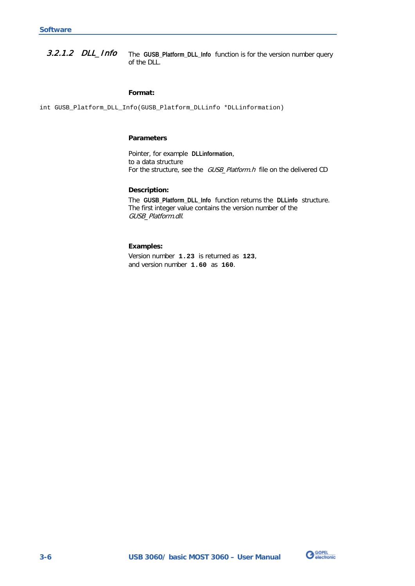<span id="page-19-0"></span>The **GUSB\_Platform\_DLL\_Info** function is for the version number query of the DLL. 3.2.1.2 DLL\_Info

#### **Format:**

int GUSB\_Platform\_DLL\_Info(GUSB\_Platform\_DLLinfo \*DLLinformation)

#### **Parameters**

Pointer, for example **DLLinformation**, to a data structure For the structure, see the GUSB\_Platform.h file on the delivered CD

#### **Description:**

The **GUSB\_Platform\_DLL\_Info** function returns the **DLLinfo** structure. The first integer value contains the version number of the GUSB\_Platform.dll.

#### **Examples:**

Version number **1.23** is returned as **123**, and version number **1.60** as **160**.

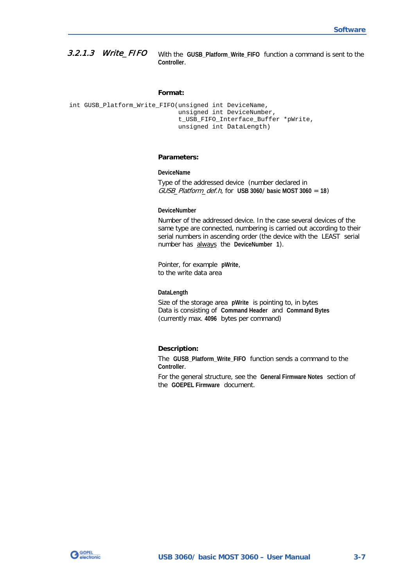#### <span id="page-20-0"></span>With the **GUSB\_Platform\_Write\_FIFO** function a command is sent to the **Controller**. 3.2.1.3 Write\_FIFO

#### **Format:**

```
int GUSB_Platform_Write_FIFO(unsigned int DeviceName,
                  unsigned int DeviceNumber,
                 t_USB_FIFO_Interface_Buffer *pWrite,
                 unsigned int DataLength)
```
#### **Parameters:**

**DeviceName**

Type of the addressed device (number declared in GUSB\_Platform\_def.h, for **USB 3060**/ **basic MOST 3060** = **18**)

#### **DeviceNumber**

Number of the addressed device. In the case several devices of the same type are connected, numbering is carried out according to their serial numbers in ascending order (the device with the LEAST serial number has always the **DeviceNumber 1**).

Pointer, for example **pWrite**, to the write data area

#### **DataLength**

Size of the storage area **pWrite** is pointing to, in bytes Data is consisting of **Command Header** and **Command Bytes** (currently max. **4096** bytes per command)

#### **Description:**

The **GUSB\_Platform\_Write\_FIFO** function sends a command to the **Controller**.

For the general structure, see the **General Firmware Notes** section of the **GOEPEL Firmware** document.

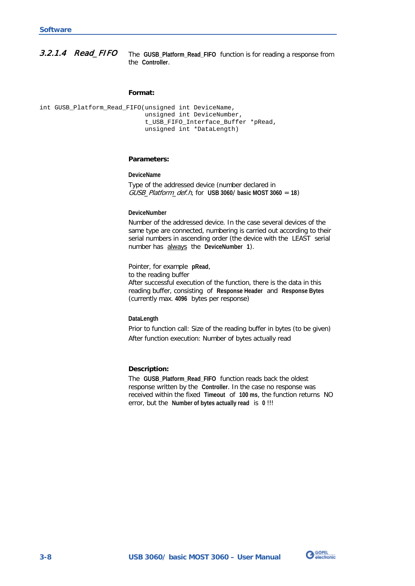<span id="page-21-0"></span>The **GUSB\_Platform\_Read\_FIFO** function is for reading a response from the **Controller**. 3.2.1.4 Read\_FIFO

#### **Format:**

int GUSB\_Platform\_Read\_FIFO(unsigned int DeviceName, unsigned int DeviceNumber, t\_USB\_FIFO\_Interface\_Buffer \*pRead, unsigned int \*DataLength)

#### **Parameters:**

#### **DeviceName**

Type of the addressed device (number declared in GUSB\_Platform\_def.h, for **USB 3060**/ **basic MOST 3060** = **18**)

#### **DeviceNumber**

Number of the addressed device. In the case several devices of the same type are connected, numbering is carried out according to their serial numbers in ascending order (the device with the LEAST serial number has always the **DeviceNumber 1**).

Pointer, for example **pRead**, to the reading buffer After successful execution of the function, there is the data in this reading buffer, consisting of **Response Header** and **Response Bytes** (currently max. **4096** bytes per response)

#### **DataLength**

Prior to function call: Size of the reading buffer in bytes (to be given) After function execution: Number of bytes actually read

#### **Description:**

The **GUSB\_Platform\_Read\_FIFO** function reads back the oldest response written by the **Controller**. In the case no response was received within the fixed **Timeout** of **100 ms**, the function returns NO error, but the **Number of bytes actually read** is **0** !!!

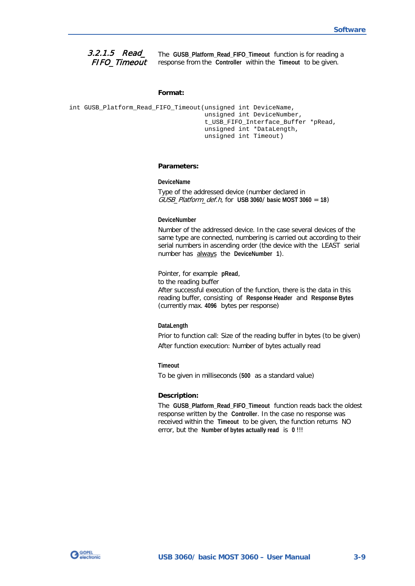#### <span id="page-22-0"></span>3.2.1.5 Read\_ FIFO\_Timeout

The **GUSB\_Platform\_Read\_FIFO\_Timeout** function is for reading a response from the **Controller** within the **Timeout** to be given.

#### **Format:**

```
int GUSB_Platform_Read_FIFO_Timeout(unsigned int DeviceName,
                         unsigned int DeviceNumber,
                        t_USB_FIFO_Interface_Buffer *pRead,
                        unsigned int *DataLength,
                        unsigned int Timeout)
```
#### **Parameters:**

#### **DeviceName**

Type of the addressed device (number declared in GUSB\_Platform\_def.h, for **USB 3060**/ **basic MOST 3060** = **18**)

#### **DeviceNumber**

Number of the addressed device. In the case several devices of the same type are connected, numbering is carried out according to their serial numbers in ascending order (the device with the LEAST serial number has always the **DeviceNumber 1**).

Pointer, for example **pRead**, to the reading buffer After successful execution of the function, there is the data in this reading buffer, consisting of **Response Header** and **Response Bytes** (currently max. **4096** bytes per response)

#### **DataLength**

Prior to function call: Size of the reading buffer in bytes (to be given) After function execution: Number of bytes actually read

#### **Timeout**

To be given in milliseconds (**500** as a standard value)

#### **Description:**

The **GUSB\_Platform\_Read\_FIFO\_Timeout** function reads back the oldest response written by the **Controller**. In the case no response was received within the **Timeout** to be given, the function returns NO error, but the **Number of bytes actually read** is **0** !!!

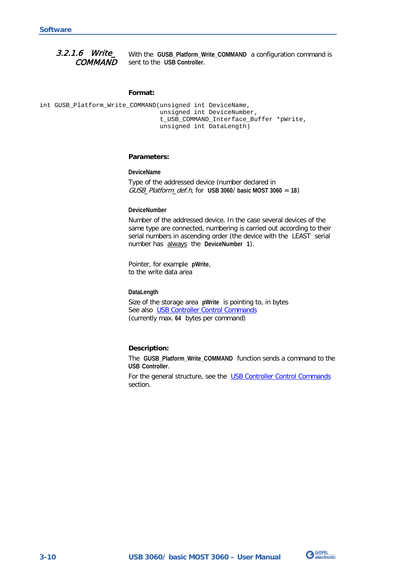#### <span id="page-23-1"></span><span id="page-23-0"></span>With the **GUSB\_Platform\_Write\_COMMAND** a configuration command is sent to the **USB Controller**. 3.2.1.6 Write\_ **COMMAND**

#### **Format:**

int GUSB\_Platform\_Write\_COMMAND(unsigned int DeviceName, unsigned int DeviceNumber, t\_USB\_COMMAND\_Interface\_Buffer \*pWrite, unsigned int DataLength)

#### **Parameters:**

**DeviceName**

Type of the addressed device (number declared in GUSB\_Platform\_def.h, for **USB 3060**/ **basic MOST 3060** = **18**)

#### **DeviceNumber**

Number of the addressed device. In the case several devices of the same type are connected, numbering is carried out according to their serial numbers in ascending order (the device with the LEAST serial number has always the **DeviceNumber 1**).

Pointer, for example **pWrite**, to the write data area

**DataLength**

Size of the storage area **pWrite** is pointing to, in bytes See also [USB Controller Control Commands](#page-27-0)  (currently max. **64** bytes per command)

#### **Description:**

The **GUSB\_Platform\_Write\_COMMAND** function sends a command to the **USB Controller**.

For the general structure, see the USB Controller Control Commands section.

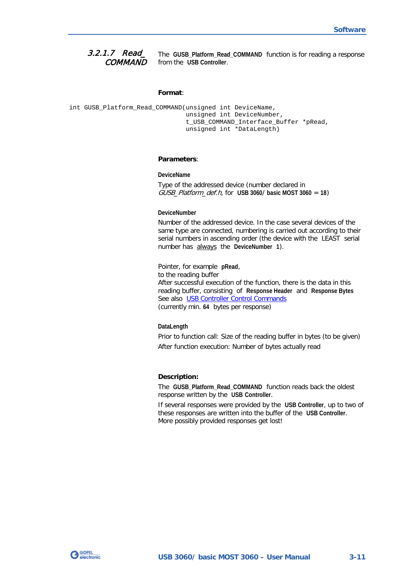#### <span id="page-24-0"></span>The **GUSB\_Platform\_Read\_COMMAND** function is for reading a response from the **USB Controller**. 3.2.1.7 Read\_ **COMMAND**

#### **Format**:

```
int GUSB Platform Read COMMAND(unsigned int DeviceName,
                    unsigned int DeviceNumber,
                   t_USB_COMMAND_Interface_Buffer *pRead,
                    unsigned int *DataLength)
```
#### **Parameters**:

#### **DeviceName**

Type of the addressed device (number declared in GUSB\_Platform\_def.h, for **USB 3060**/ **basic MOST 3060** = **18**)

#### **DeviceNumber**

Number of the addressed device. In the case several devices of the same type are connected, numbering is carried out according to their serial numbers in ascending order (the device with the LEAST serial number has always the **DeviceNumber 1**).

Pointer, for example **pRead**, to the reading buffer After successful execution of the function, there is the data in this reading buffer, consisting of **Response Header** and **Response Bytes** See also [USB Controller Control Commands](#page-27-0)  (currently min. **64** bytes per response)

#### **DataLength**

Prior to function call: Size of the reading buffer in bytes (to be given) After function execution: Number of bytes actually read

#### **Description:**

The **GUSB\_Platform\_Read\_COMMAND** function reads back the oldest response written by the **USB Controller**.

If several responses were provided by the **USB Controller**, up to two of these responses are written into the buffer of the **USB Controller**. More possibly provided responses get lost!

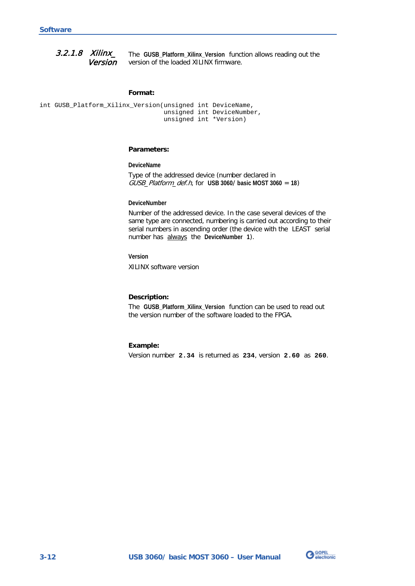<span id="page-25-1"></span><span id="page-25-0"></span>The **GUSB\_Platform\_Xilinx\_Version** function allows reading out the version of the loaded XILINX firmware. 3.2.1.8 Xilinx\_ Version

#### **Format:**

```
int GUSB_Platform_Xilinx_Version(unsigned int DeviceName,
                      unsigned int DeviceNumber,
                     unsigned int *Version)
```
#### **Parameters:**

**DeviceName**

Type of the addressed device (number declared in GUSB\_Platform\_def.h, for **USB 3060**/ **basic MOST 3060** = **18**)

#### **DeviceNumber**

Number of the addressed device. In the case several devices of the same type are connected, numbering is carried out according to their serial numbers in ascending order (the device with the LEAST serial number has always the **DeviceNumber 1**).

**Version**

XILINX software version

#### **Description:**

The **GUSB\_Platform\_Xilinx\_Version** function can be used to read out the version number of the software loaded to the FPGA.

#### **Example:**

Version number **2.34** is returned as **234**, version **2.60** as **260**.

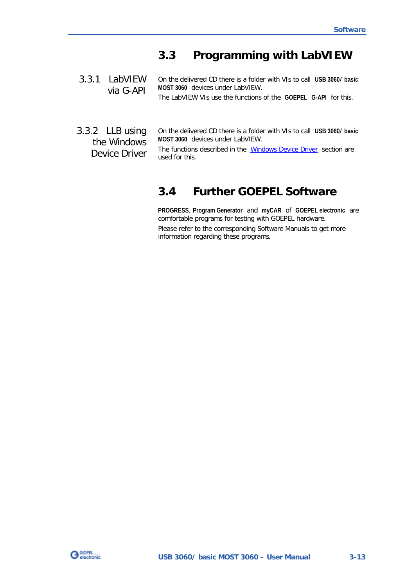## <span id="page-26-0"></span>**3.3 Programming with LabVIEW**

- <span id="page-26-1"></span>On the delivered CD there is a folder with VIs to call **USB 3060**/ **basic MOST 3060** devices under LabVIEW. The LabVIEW VIs use the functions of the **GOEPEL G-API** for this. 3.3.1 LabVIEW via G-API
- <span id="page-26-2"></span>On the delivered CD there is a folder with VIs to call **USB 3060**/ **basic MOST 3060** devices under LabVIEW. The functions described in the **Windows Device Driver** section are used for this. 3.3.2 LLB using the Windows Device Driver

## <span id="page-26-3"></span>**3.4 Further GOEPEL Software**

**PROGRESS**, **Program Generator** and **myCAR** of **GOEPEL electronic** are comfortable programs for testing with GOEPEL hardware. Please refer to the corresponding Software Manuals to get more information regarding these programs**.**

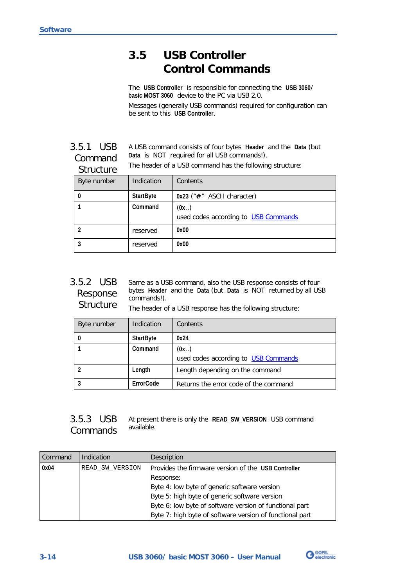## <span id="page-27-0"></span>**3.5 USB Controller Control Commands**

The **USB Controller** is responsible for connecting the **USB 3060**/ **basic MOST 3060** device to the PC via USB 2.0. Messages (generally USB commands) required for configuration can be sent to this **USB Controller**.

<span id="page-27-1"></span>A USB command consists of four bytes **Header** and the **Data** (but **Data** is NOT required for all USB commands!). The header of a USB command has the following structure: 3.5.1 USB Command Structure

| ou ucturc      |                  |                                              |
|----------------|------------------|----------------------------------------------|
| Byte number    | Indication       | Contents                                     |
| 0              | <b>StartByte</b> | $0x23$ (" $#$ " ASCII character)             |
|                | Command          | (0x)<br>used codes according to USB Commands |
| $\overline{2}$ | reserved         | 0x00                                         |
| 3              | reserved         | 0x00                                         |

<span id="page-27-2"></span>Same as a USB command, also the USB response consists of four bytes **Header** and the **Data** (but **Data** is NOT returned by all USB commands!). 3.5.2 USB Response **Structure** 

The header of a USB response has the following structure:

| Byte number | Indication       | Contents                              |
|-------------|------------------|---------------------------------------|
|             | <b>StartByte</b> | 0x24                                  |
|             | Command          | (0x)                                  |
|             |                  | used codes according to USB Commands  |
|             | Length           | Length depending on the command       |
|             | ErrorCode        | Returns the error code of the command |

<span id="page-27-3"></span>

|  | 3.5.3 USB At present there is only the READ_SW_VERSION USB command |  |
|--|--------------------------------------------------------------------|--|
|  | Commands available.                                                |  |

| Command | Indication      | Description                                              |  |
|---------|-----------------|----------------------------------------------------------|--|
| 0x04    | READ SW VERSION | Provides the firmware version of the USB Controller      |  |
|         |                 | Response:                                                |  |
|         |                 | Byte 4: low byte of generic software version             |  |
|         |                 | Byte 5: high byte of generic software version            |  |
|         |                 | Byte 6: low byte of software version of functional part  |  |
|         |                 | Byte 7: high byte of software version of functional part |  |